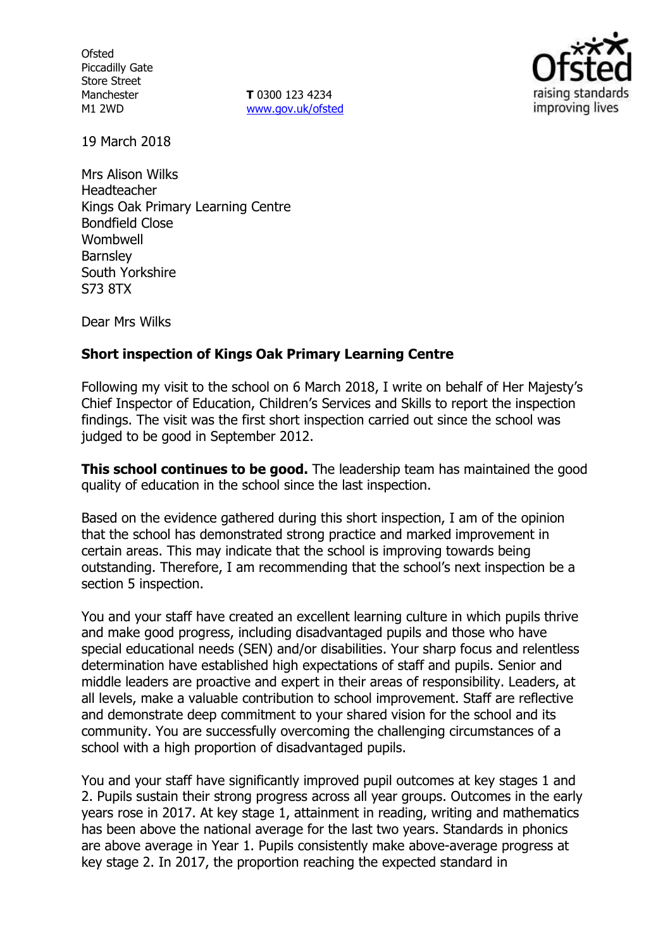**Ofsted** Piccadilly Gate Store Street Manchester M1 2WD

**T** 0300 123 4234 www.gov.uk/ofsted



19 March 2018

Mrs Alison Wilks Headteacher Kings Oak Primary Learning Centre Bondfield Close **Wombwell Barnsley** South Yorkshire S73 8TX

Dear Mrs Wilks

### **Short inspection of Kings Oak Primary Learning Centre**

Following my visit to the school on 6 March 2018, I write on behalf of Her Majesty's Chief Inspector of Education, Children's Services and Skills to report the inspection findings. The visit was the first short inspection carried out since the school was judged to be good in September 2012.

**This school continues to be good.** The leadership team has maintained the good quality of education in the school since the last inspection.

Based on the evidence gathered during this short inspection, I am of the opinion that the school has demonstrated strong practice and marked improvement in certain areas. This may indicate that the school is improving towards being outstanding. Therefore, I am recommending that the school's next inspection be a section 5 inspection.

You and your staff have created an excellent learning culture in which pupils thrive and make good progress, including disadvantaged pupils and those who have special educational needs (SEN) and/or disabilities. Your sharp focus and relentless determination have established high expectations of staff and pupils. Senior and middle leaders are proactive and expert in their areas of responsibility. Leaders, at all levels, make a valuable contribution to school improvement. Staff are reflective and demonstrate deep commitment to your shared vision for the school and its community. You are successfully overcoming the challenging circumstances of a school with a high proportion of disadvantaged pupils.

You and your staff have significantly improved pupil outcomes at key stages 1 and 2. Pupils sustain their strong progress across all year groups. Outcomes in the early years rose in 2017. At key stage 1, attainment in reading, writing and mathematics has been above the national average for the last two years. Standards in phonics are above average in Year 1. Pupils consistently make above-average progress at key stage 2. In 2017, the proportion reaching the expected standard in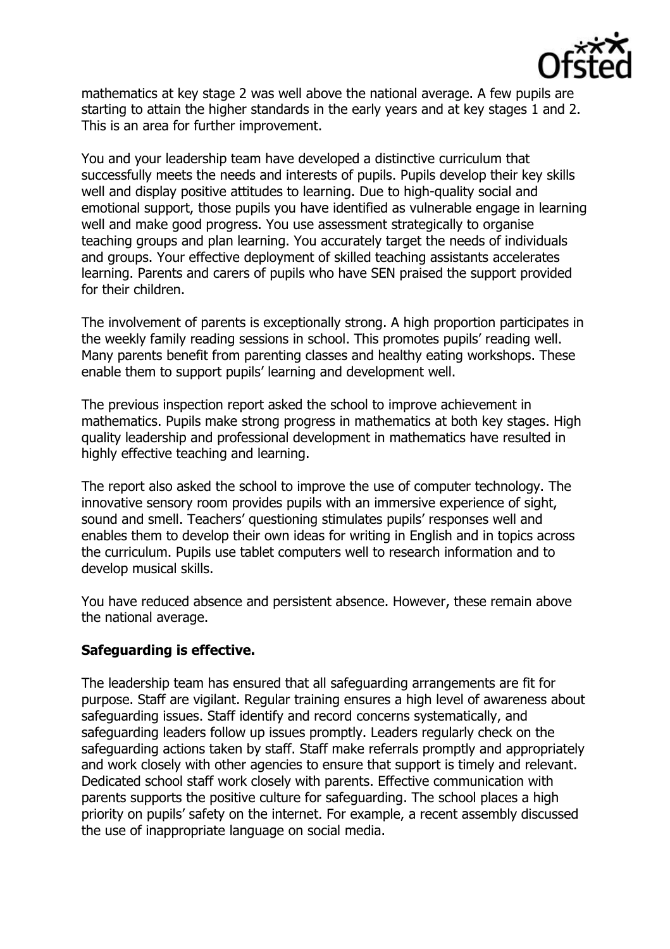

mathematics at key stage 2 was well above the national average. A few pupils are starting to attain the higher standards in the early years and at key stages 1 and 2. This is an area for further improvement.

You and your leadership team have developed a distinctive curriculum that successfully meets the needs and interests of pupils. Pupils develop their key skills well and display positive attitudes to learning. Due to high-quality social and emotional support, those pupils you have identified as vulnerable engage in learning well and make good progress. You use assessment strategically to organise teaching groups and plan learning. You accurately target the needs of individuals and groups. Your effective deployment of skilled teaching assistants accelerates learning. Parents and carers of pupils who have SEN praised the support provided for their children.

The involvement of parents is exceptionally strong. A high proportion participates in the weekly family reading sessions in school. This promotes pupils' reading well. Many parents benefit from parenting classes and healthy eating workshops. These enable them to support pupils' learning and development well.

The previous inspection report asked the school to improve achievement in mathematics. Pupils make strong progress in mathematics at both key stages. High quality leadership and professional development in mathematics have resulted in highly effective teaching and learning.

The report also asked the school to improve the use of computer technology. The innovative sensory room provides pupils with an immersive experience of sight, sound and smell. Teachers' questioning stimulates pupils' responses well and enables them to develop their own ideas for writing in English and in topics across the curriculum. Pupils use tablet computers well to research information and to develop musical skills.

You have reduced absence and persistent absence. However, these remain above the national average.

### **Safeguarding is effective.**

The leadership team has ensured that all safeguarding arrangements are fit for purpose. Staff are vigilant. Regular training ensures a high level of awareness about safeguarding issues. Staff identify and record concerns systematically, and safeguarding leaders follow up issues promptly. Leaders regularly check on the safeguarding actions taken by staff. Staff make referrals promptly and appropriately and work closely with other agencies to ensure that support is timely and relevant. Dedicated school staff work closely with parents. Effective communication with parents supports the positive culture for safeguarding. The school places a high priority on pupils' safety on the internet. For example, a recent assembly discussed the use of inappropriate language on social media.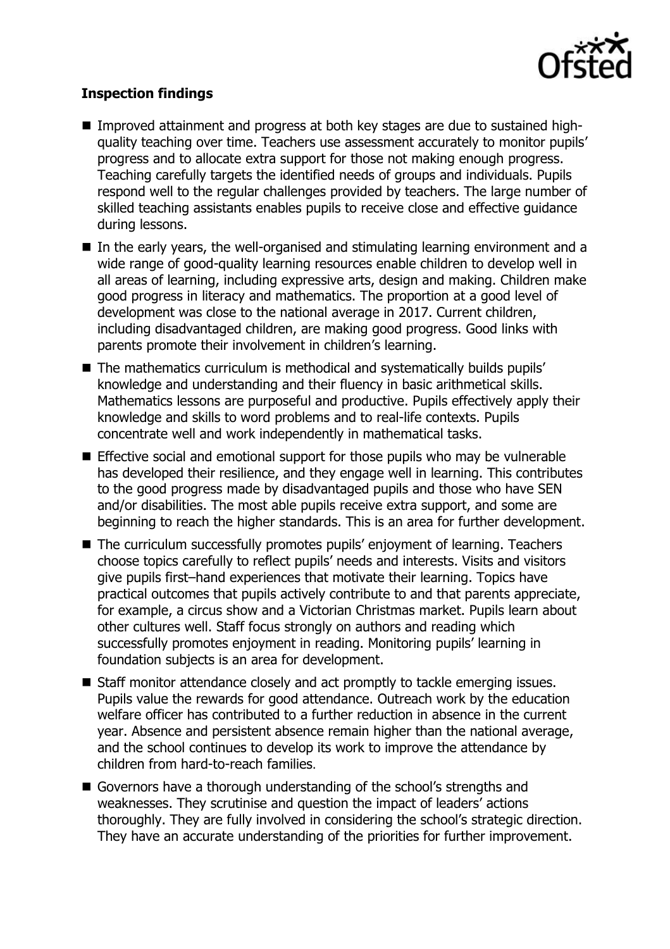

# **Inspection findings**

- Improved attainment and progress at both key stages are due to sustained highquality teaching over time. Teachers use assessment accurately to monitor pupils' progress and to allocate extra support for those not making enough progress. Teaching carefully targets the identified needs of groups and individuals. Pupils respond well to the regular challenges provided by teachers. The large number of skilled teaching assistants enables pupils to receive close and effective guidance during lessons.
- In the early years, the well-organised and stimulating learning environment and a wide range of good-quality learning resources enable children to develop well in all areas of learning, including expressive arts, design and making. Children make good progress in literacy and mathematics. The proportion at a good level of development was close to the national average in 2017. Current children, including disadvantaged children, are making good progress. Good links with parents promote their involvement in children's learning.
- The mathematics curriculum is methodical and systematically builds pupils' knowledge and understanding and their fluency in basic arithmetical skills. Mathematics lessons are purposeful and productive. Pupils effectively apply their knowledge and skills to word problems and to real-life contexts. Pupils concentrate well and work independently in mathematical tasks.
- Effective social and emotional support for those pupils who may be vulnerable has developed their resilience, and they engage well in learning. This contributes to the good progress made by disadvantaged pupils and those who have SEN and/or disabilities. The most able pupils receive extra support, and some are beginning to reach the higher standards. This is an area for further development.
- The curriculum successfully promotes pupils' enjoyment of learning. Teachers choose topics carefully to reflect pupils' needs and interests. Visits and visitors give pupils first–hand experiences that motivate their learning. Topics have practical outcomes that pupils actively contribute to and that parents appreciate, for example, a circus show and a Victorian Christmas market. Pupils learn about other cultures well. Staff focus strongly on authors and reading which successfully promotes enjoyment in reading. Monitoring pupils' learning in foundation subjects is an area for development.
- Staff monitor attendance closely and act promptly to tackle emerging issues. Pupils value the rewards for good attendance. Outreach work by the education welfare officer has contributed to a further reduction in absence in the current year. Absence and persistent absence remain higher than the national average, and the school continues to develop its work to improve the attendance by children from hard-to-reach families.
- Governors have a thorough understanding of the school's strengths and weaknesses. They scrutinise and question the impact of leaders' actions thoroughly. They are fully involved in considering the school's strategic direction. They have an accurate understanding of the priorities for further improvement.